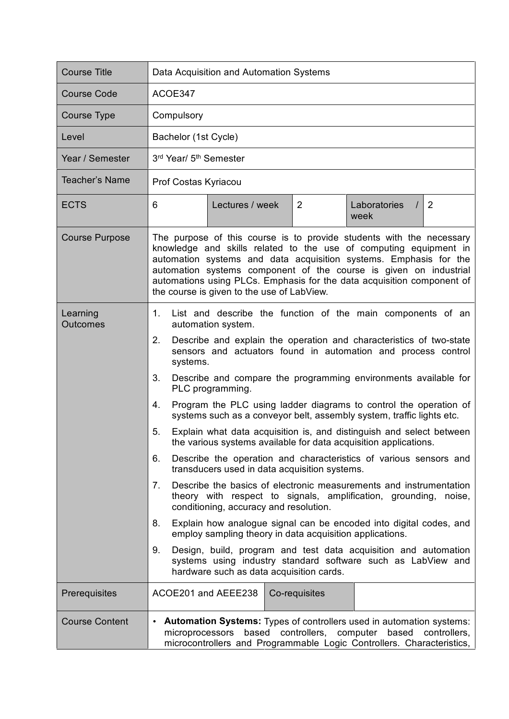| <b>Course Title</b>         | Data Acquisition and Automation Systems                                                                                                                                                                                                                                                                                                                                                                                                                                                                                                                                                                                                                                                                                                                                                                                                                                                                                                                                                                                                                                                                                                                                                                                                                                                                 |
|-----------------------------|---------------------------------------------------------------------------------------------------------------------------------------------------------------------------------------------------------------------------------------------------------------------------------------------------------------------------------------------------------------------------------------------------------------------------------------------------------------------------------------------------------------------------------------------------------------------------------------------------------------------------------------------------------------------------------------------------------------------------------------------------------------------------------------------------------------------------------------------------------------------------------------------------------------------------------------------------------------------------------------------------------------------------------------------------------------------------------------------------------------------------------------------------------------------------------------------------------------------------------------------------------------------------------------------------------|
| <b>Course Code</b>          | ACOE347                                                                                                                                                                                                                                                                                                                                                                                                                                                                                                                                                                                                                                                                                                                                                                                                                                                                                                                                                                                                                                                                                                                                                                                                                                                                                                 |
| <b>Course Type</b>          | Compulsory                                                                                                                                                                                                                                                                                                                                                                                                                                                                                                                                                                                                                                                                                                                                                                                                                                                                                                                                                                                                                                                                                                                                                                                                                                                                                              |
| Level                       | Bachelor (1st Cycle)                                                                                                                                                                                                                                                                                                                                                                                                                                                                                                                                                                                                                                                                                                                                                                                                                                                                                                                                                                                                                                                                                                                                                                                                                                                                                    |
| Year / Semester             | 3rd Year/ 5 <sup>th</sup> Semester                                                                                                                                                                                                                                                                                                                                                                                                                                                                                                                                                                                                                                                                                                                                                                                                                                                                                                                                                                                                                                                                                                                                                                                                                                                                      |
| <b>Teacher's Name</b>       | Prof Costas Kyriacou                                                                                                                                                                                                                                                                                                                                                                                                                                                                                                                                                                                                                                                                                                                                                                                                                                                                                                                                                                                                                                                                                                                                                                                                                                                                                    |
| <b>ECTS</b>                 | 6<br>Lectures / week<br>$\overline{2}$<br>Laboratories<br>$\overline{2}$<br>$\prime$<br>week                                                                                                                                                                                                                                                                                                                                                                                                                                                                                                                                                                                                                                                                                                                                                                                                                                                                                                                                                                                                                                                                                                                                                                                                            |
| <b>Course Purpose</b>       | The purpose of this course is to provide students with the necessary<br>knowledge and skills related to the use of computing equipment in<br>automation systems and data acquisition systems. Emphasis for the<br>automation systems component of the course is given on industrial<br>automations using PLCs. Emphasis for the data acquisition component of<br>the course is given to the use of LabView.                                                                                                                                                                                                                                                                                                                                                                                                                                                                                                                                                                                                                                                                                                                                                                                                                                                                                             |
| Learning<br><b>Outcomes</b> | 1.<br>List and describe the function of the main components of an<br>automation system.<br>Describe and explain the operation and characteristics of two-state<br>2.<br>sensors and actuators found in automation and process control<br>systems.<br>3.<br>Describe and compare the programming environments available for<br>PLC programming.<br>Program the PLC using ladder diagrams to control the operation of<br>4.<br>systems such as a conveyor belt, assembly system, traffic lights etc.<br>Explain what data acquisition is, and distinguish and select between<br>5.<br>the various systems available for data acquisition applications.<br>Describe the operation and characteristics of various sensors and<br>6.<br>transducers used in data acquisition systems.<br>7.<br>Describe the basics of electronic measurements and instrumentation<br>theory with respect to signals, amplification, grounding, noise,<br>conditioning, accuracy and resolution.<br>Explain how analogue signal can be encoded into digital codes, and<br>8.<br>employ sampling theory in data acquisition applications.<br>9.<br>Design, build, program and test data acquisition and automation<br>systems using industry standard software such as LabView and<br>hardware such as data acquisition cards. |
| Prerequisites               | ACOE201 and AEEE238<br>Co-requisites                                                                                                                                                                                                                                                                                                                                                                                                                                                                                                                                                                                                                                                                                                                                                                                                                                                                                                                                                                                                                                                                                                                                                                                                                                                                    |
| <b>Course Content</b>       | <b>Automation Systems:</b> Types of controllers used in automation systems:<br>$\bullet$<br>microprocessors based controllers, computer based<br>controllers,<br>microcontrollers and Programmable Logic Controllers. Characteristics,                                                                                                                                                                                                                                                                                                                                                                                                                                                                                                                                                                                                                                                                                                                                                                                                                                                                                                                                                                                                                                                                  |